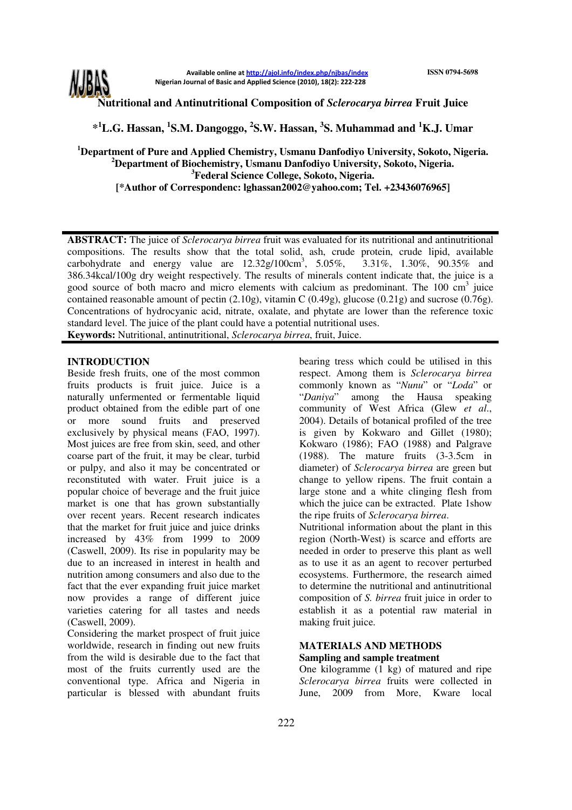

Available online at http://ajol.info/index.php/njbas/index Nigerian Journal of Basic and Applied Science (2010), 18(2): 222-228

**Nutritional and Antinutritional Composition of** *Sclerocarya birrea* **Fruit Juice** 

**\* <sup>1</sup>L.G. Hassan, <sup>1</sup> S.M. Dangoggo, <sup>2</sup> S.W. Hassan, <sup>3</sup> S. Muhammad and <sup>1</sup>K.J. Umar** 

**Department of Pure and Applied Chemistry, Usmanu Danfodiyo University, Sokoto, Nigeria. Department of Biochemistry, Usmanu Danfodiyo University, Sokoto, Nigeria. Federal Science College, Sokoto, Nigeria. [\*Author of Correspondenc: lghassan2002@yahoo.com; Tel. +23436076965]** 

**ABSTRACT:** The juice of *Sclerocarya birrea* fruit was evaluated for its nutritional and antinutritional compositions. The results show that the total solid, ash, crude protein, crude lipid, available carbohydrate and energy value are  $12.32g/100cm^3$ ,  $5.05\%$ ,  $3.31\%$ , 1.30%, 90.35% and 386.34kcal/100g dry weight respectively. The results of minerals content indicate that, the juice is a good source of both macro and micro elements with calcium as predominant. The 100 cm<sup>3</sup> juice contained reasonable amount of pectin (2.10g), vitamin C (0.49g), glucose (0.21g) and sucrose (0.76g). Concentrations of hydrocyanic acid, nitrate, oxalate, and phytate are lower than the reference toxic standard level. The juice of the plant could have a potential nutritional uses.

**Keywords:** Nutritional, antinutritional, *Sclerocarya birrea*, fruit, Juice.

## **INTRODUCTION**

Beside fresh fruits, one of the most common fruits products is fruit juice. Juice is a naturally unfermented or fermentable liquid product obtained from the edible part of one or more sound fruits and preserved exclusively by physical means (FAO, 1997). Most juices are free from skin, seed, and other coarse part of the fruit, it may be clear, turbid or pulpy, and also it may be concentrated or reconstituted with water. Fruit juice is a popular choice of beverage and the fruit juice market is one that has grown substantially over recent years. Recent research indicates that the market for fruit juice and juice drinks increased by 43% from 1999 to 2009 (Caswell, 2009). Its rise in popularity may be due to an increased in interest in health and nutrition among consumers and also due to the fact that the ever expanding fruit juice market now provides a range of different juice varieties catering for all tastes and needs (Caswell, 2009).

Considering the market prospect of fruit juice worldwide, research in finding out new fruits from the wild is desirable due to the fact that most of the fruits currently used are the conventional type. Africa and Nigeria in particular is blessed with abundant fruits

bearing tress which could be utilised in this respect. Among them is *Sclerocarya birrea* commonly known as "*Nunu*" or "*Loda*" or "*Daniya*" among the Hausa speaking community of West Africa (Glew *et al*., 2004). Details of botanical profiled of the tree is given by Kokwaro and Gillet (1980); Kokwaro (1986); FAO (1988) and Palgrave (1988). The mature fruits (3-3.5cm in diameter) of *Sclerocarya birrea* are green but change to yellow ripens. The fruit contain a large stone and a white clinging flesh from which the juice can be extracted. Plate 1show the ripe fruits of *Sclerocarya birrea*.

Nutritional information about the plant in this region (North-West) is scarce and efforts are needed in order to preserve this plant as well as to use it as an agent to recover perturbed ecosystems. Furthermore, the research aimed to determine the nutritional and antinutritional composition of *S. birrea* fruit juice in order to establish it as a potential raw material in making fruit juice.

## **MATERIALS AND METHODS Sampling and sample treatment**

One kilogramme (1 kg) of matured and ripe *Sclerocarya birrea* fruits were collected in June, 2009 from More, Kware local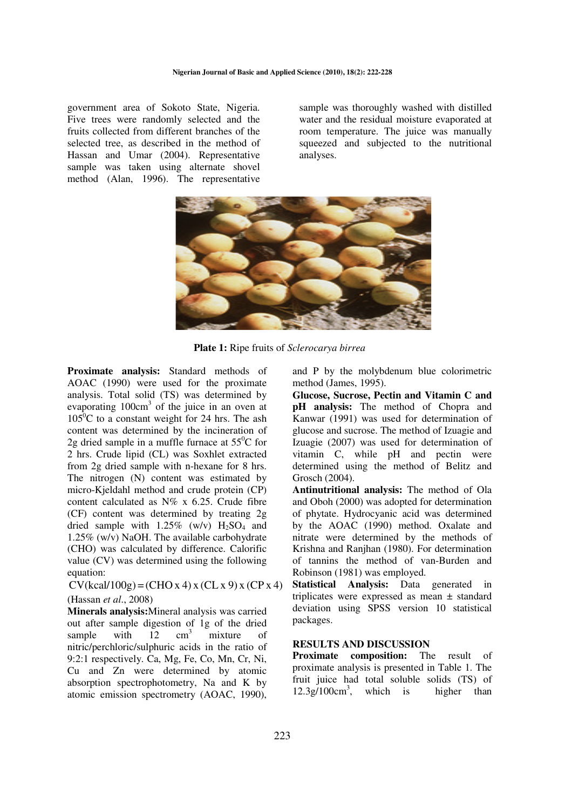government area of Sokoto State, Nigeria. Five trees were randomly selected and the fruits collected from different branches of the selected tree, as described in the method of Hassan and Umar (2004). Representative sample was taken using alternate shovel method (Alan, 1996). The representative sample was thoroughly washed with distilled water and the residual moisture evaporated at room temperature. The juice was manually squeezed and subjected to the nutritional analyses.



**Plate 1:** Ripe fruits of *Sclerocarya birrea*

**Proximate analysis:** Standard methods of AOAC (1990) were used for the proximate analysis. Total solid (TS) was determined by evaporating  $100 \text{cm}^3$  of the juice in an oven at  $105^{\circ}$ C to a constant weight for 24 hrs. The ash content was determined by the incineration of 2g dried sample in a muffle furnace at  $55^{\circ}$ C for 2 hrs. Crude lipid (CL) was Soxhlet extracted from 2g dried sample with n-hexane for 8 hrs. The nitrogen (N) content was estimated by micro-Kjeldahl method and crude protein (CP) content calculated as N% x 6.25. Crude fibre (CF) content was determined by treating 2g dried sample with  $1.25\%$  (w/v)  $H_2SO_4$  and 1.25% (w/v) NaOH. The available carbohydrate (CHO) was calculated by difference. Calorific value (CV) was determined using the following equation:

 $CV(keal/100g) = (CHO x 4) x (CL x 9) x (CP x 4)$ (Hassan *et al*., 2008)

**Minerals analysis:**Mineral analysis was carried out after sample digestion of 1g of the dried sample with  $12$  cm<sup>3</sup> mixture of nitric/perchloric/sulphuric acids in the ratio of 9:2:1 respectively. Ca, Mg, Fe, Co, Mn, Cr, Ni, Cu and Zn were determined by atomic absorption spectrophotometry, Na and K by atomic emission spectrometry (AOAC, 1990),

and P by the molybdenum blue colorimetric method (James, 1995).

**Glucose, Sucrose, Pectin and Vitamin C and pH analysis:** The method of Chopra and Kanwar (1991) was used for determination of glucose and sucrose. The method of Izuagie and Izuagie (2007) was used for determination of vitamin C, while pH and pectin were determined using the method of Belitz and Grosch (2004).

**Antinutritional analysis:** The method of Ola and Oboh (2000) was adopted for determination of phytate. Hydrocyanic acid was determined by the AOAC (1990) method. Oxalate and nitrate were determined by the methods of Krishna and Ranjhan (1980). For determination of tannins the method of van-Burden and Robinson (1981) was employed.

**Statistical Analysis:** Data generated in triplicates were expressed as mean ± standard deviation using SPSS version 10 statistical packages.

## **RESULTS AND DISCUSSION**

**Proximate composition:** The result of proximate analysis is presented in Table 1. The fruit juice had total soluble solids (TS) of 12.3g/100cm<sup>3</sup> , which is higher than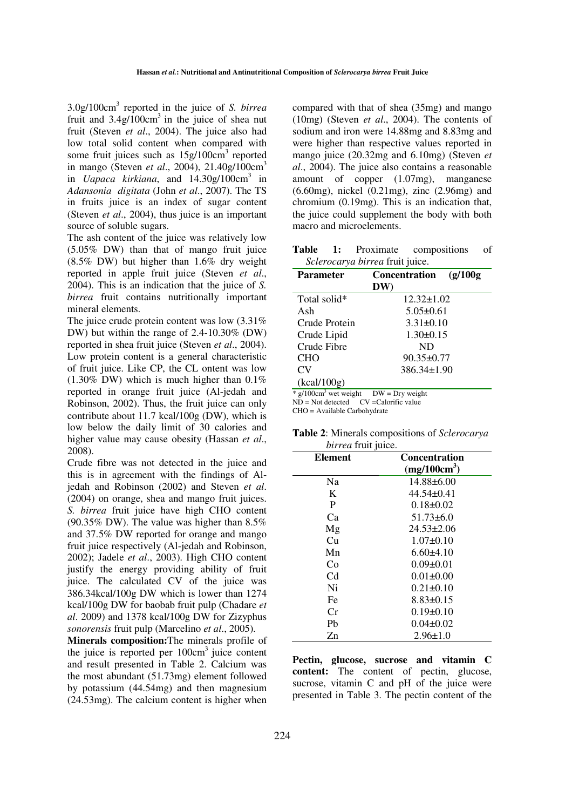3.0g/100cm<sup>3</sup> reported in the juice of *S. birrea* fruit and  $3.4g/100cm<sup>3</sup>$  in the juice of shea nut fruit (Steven *et al*., 2004). The juice also had low total solid content when compared with some fruit juices such as  $15g/100cm^3$  reported in mango (Steven *et al*., 2004), 21.40g/100cm<sup>3</sup> in *Uapaca kirkiana*, and 14.30g/100cm<sup>3</sup> in *Adansonia digitata* (John *et al*., 2007). The TS in fruits juice is an index of sugar content (Steven *et al*., 2004), thus juice is an important source of soluble sugars.

The ash content of the juice was relatively low (5.05% DW) than that of mango fruit juice (8.5% DW) but higher than 1.6% dry weight reported in apple fruit juice (Steven *et al*., 2004). This is an indication that the juice of *S. birrea* fruit contains nutritionally important mineral elements.

The juice crude protein content was low (3.31% DW) but within the range of 2.4-10.30% (DW) reported in shea fruit juice (Steven *et al*., 2004). Low protein content is a general characteristic of fruit juice. Like CP, the CL ontent was low  $(1.30\% \text{ DW})$  which is much higher than  $0.1\%$ reported in orange fruit juice (Al-jedah and Robinson, 2002). Thus, the fruit juice can only contribute about 11.7 kcal/100g (DW), which is low below the daily limit of 30 calories and higher value may cause obesity (Hassan *et al*., 2008).

Crude fibre was not detected in the juice and this is in agreement with the findings of Aljedah and Robinson (2002) and Steven *et al*. (2004) on orange, shea and mango fruit juices. *S. birrea* fruit juice have high CHO content (90.35% DW). The value was higher than 8.5% and 37.5% DW reported for orange and mango fruit juice respectively (Al-jedah and Robinson, 2002); Jadele *et al*., 2003). High CHO content justify the energy providing ability of fruit juice. The calculated CV of the juice was 386.34kcal/100g DW which is lower than 1274 kcal/100g DW for baobab fruit pulp (Chadare *et al*. 2009) and 1378 kcal/100g DW for Zizyphus *sonorensis* fruit pulp (Marcelino *et al*., 2005).

**Minerals composition:**The minerals profile of the juice is reported per  $100 \text{cm}^3$  juice content and result presented in Table 2. Calcium was the most abundant (51.73mg) element followed by potassium (44.54mg) and then magnesium (24.53mg). The calcium content is higher when compared with that of shea (35mg) and mango (10mg) (Steven *et al*., 2004). The contents of sodium and iron were 14.88mg and 8.83mg and were higher than respective values reported in mango juice (20.32mg and 6.10mg) (Steven *et al*., 2004). The juice also contains a reasonable amount of copper (1.07mg), manganese (6.60mg), nickel (0.21mg), zinc (2.96mg) and chromium (0.19mg). This is an indication that, the juice could supplement the body with both macro and microelements.

**Table 1:** Proximate compositions of *Sclerocarya birrea* fruit juice.

| <b>Parameter</b>                    | <b>Concentration</b><br>(g/100g) |
|-------------------------------------|----------------------------------|
|                                     | DW)                              |
| Total solid*                        | $12.32 \pm 1.02$                 |
| Ash                                 | $5.05 \pm 0.61$                  |
| Crude Protein                       | $3.31 \pm 0.10$                  |
| Crude Lipid                         | $1.30 \pm 0.15$                  |
| Crude Fibre                         | ND.                              |
| <b>CHO</b>                          | $90.35 \pm 0.77$                 |
| CV <sub></sub>                      | 386.34±1.90                      |
| (kcal/100g)                         |                                  |
| $*$ g/100cm <sup>3</sup> wet weight | $DW = Dry$ weight                |

 $ND = Not detected$   $CV = Calorific value$ 

CHO = Available Carbohydrate

| <i>birrea</i> fruit juice. |                          |
|----------------------------|--------------------------|
| Element                    | <b>Concentration</b>     |
|                            | (mg/100cm <sup>3</sup> ) |

**Table 2**: Minerals compositions of *Sclerocarya* 

|                | (mg/100cm <sup>3</sup> ) |  |
|----------------|--------------------------|--|
| Na             | $14.88 \pm 6.00$         |  |
| K              | $44.54 \pm 0.41$         |  |
| P              | $0.18 \pm 0.02$          |  |
| Ca             | $51.73\pm 6.0$           |  |
| Mg             | $24.53 \pm 2.06$         |  |
| Cu             | $1.07 \pm 0.10$          |  |
| Mn             | $6.60\pm4.10$            |  |
| Co             | $0.09 \pm 0.01$          |  |
| C <sub>d</sub> | $0.01 \pm 0.00$          |  |
| Ni             | $0.21 \pm 0.10$          |  |
| Fe             | $8.83 \pm 0.15$          |  |
| Сr             | $0.19 \pm 0.10$          |  |
| Pb             | $0.04 \pm 0.02$          |  |
| Zn             | $2.96 \pm 1.0$           |  |

**Pectin, glucose, sucrose and vitamin C content:** The content of pectin, glucose, sucrose, vitamin C and pH of the juice were presented in Table 3. The pectin content of the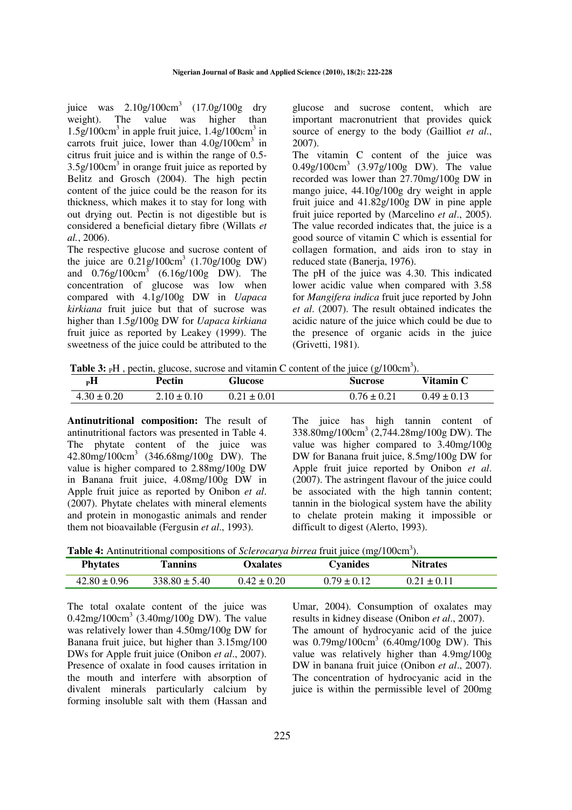juice was  $2.10g/100cm^3$   $(17.0g/100g$  dry weight). The value was higher than  $1.5g/100cm<sup>3</sup>$  in apple fruit juice,  $1.4g/100cm<sup>3</sup>$  in carrots fruit juice, lower than  $4.0g/100 \text{cm}^3$  in citrus fruit juice and is within the range of 0.5-  $3.5g/100cm<sup>3</sup>$  in orange fruit juice as reported by Belitz and Grosch (2004). The high pectin content of the juice could be the reason for its thickness, which makes it to stay for long with out drying out. Pectin is not digestible but is considered a beneficial dietary fibre (Willats *et al.*, 2006).

The respective glucose and sucrose content of the juice are  $0.21g/100cm^3$   $(1.70g/100g)$  DW) and  $0.76g/100cm^3$   $(6.16g/100g)$  DW). The concentration of glucose was low when compared with 4.1g/100g DW in *Uapaca kirkiana* fruit juice but that of sucrose was higher than 1.5g/100g DW for *Uapaca kirkiana* fruit juice as reported by Leakey (1999). The sweetness of the juice could be attributed to the

glucose and sucrose content, which are important macronutrient that provides quick source of energy to the body (Gailliot *et al*., 2007).

The vitamin C content of the juice was 0.49g/100cm<sup>3</sup> (3.97g/100g DW). The value recorded was lower than 27.70mg/100g DW in mango juice, 44.10g/100g dry weight in apple fruit juice and 41.82g/100g DW in pine apple fruit juice reported by (Marcelino *et al*., 2005). The value recorded indicates that, the juice is a good source of vitamin C which is essential for collagen formation, and aids iron to stay in reduced state (Baneria, 1976).

The pH of the juice was 4.30. This indicated lower acidic value when compared with 3.58 for *Mangifera indica* fruit juce reported by John *et al*. (2007). The result obtained indicates the acidic nature of the juice which could be due to the presence of organic acids in the juice (Grivetti, 1981).

Table 3: <sub>P</sub>H, pectin, glucose, sucrose and vitamin C content of the juice (g/100cm<sup>3</sup>).

| $_{\rm P}$ H    | Pectin          | <b>Glucose</b>  | <b>Sucrose</b>  | Vitamin C       |
|-----------------|-----------------|-----------------|-----------------|-----------------|
| $4.30 \pm 0.20$ | $2.10 \pm 0.10$ | $0.21 \pm 0.01$ | $0.76 \pm 0.21$ | $0.49 \pm 0.13$ |

**Antinutritional composition:** The result of antinutritional factors was presented in Table 4. The phytate content of the juice was 42.80mg/100cm<sup>3</sup> (346.68mg/100g DW). The value is higher compared to 2.88mg/100g DW in Banana fruit juice, 4.08mg/100g DW in Apple fruit juice as reported by Onibon *et al*. (2007). Phytate chelates with mineral elements and protein in monogastic animals and render them not bioavailable (Fergusin *et al*., 1993).

The juice has high tannin content of 338.80mg/100cm<sup>3</sup> (2,744.28mg/100g DW). The value was higher compared to 3.40mg/100g DW for Banana fruit juice, 8.5mg/100g DW for Apple fruit juice reported by Onibon *et al*. (2007). The astringent flavour of the juice could be associated with the high tannin content; tannin in the biological system have the ability to chelate protein making it impossible or difficult to digest (Alerto, 1993).

Table 4: Antinutritional compositions of *Sclerocarya birrea* fruit juice (mg/100cm<sup>3</sup>).

| <b>Phytates</b>  | Tannins           | <b>Oxalates</b> | Cvanides        | <b>Nitrates</b> |  |
|------------------|-------------------|-----------------|-----------------|-----------------|--|
| $42.80 \pm 0.96$ | $338.80 \pm 5.40$ | $0.42 \pm 0.20$ | $0.79 \pm 0.12$ | $0.21 \pm 0.11$ |  |

The total oxalate content of the juice was  $0.42$ mg/100cm<sup>3</sup> (3.40mg/100g DW). The value was relatively lower than 4.50mg/100g DW for Banana fruit juice, but higher than 3.15mg/100 DWs for Apple fruit juice (Onibon *et al*., 2007). Presence of oxalate in food causes irritation in the mouth and interfere with absorption of divalent minerals particularly calcium by forming insoluble salt with them (Hassan and

Umar, 2004). Consumption of oxalates may results in kidney disease (Onibon *et al*., 2007). The amount of hydrocyanic acid of the juice was 0.79mg/100cm<sup>3</sup> (6.40mg/100g DW). This value was relatively higher than 4.9mg/100g DW in banana fruit juice (Onibon *et al*., 2007). The concentration of hydrocyanic acid in the juice is within the permissible level of 200mg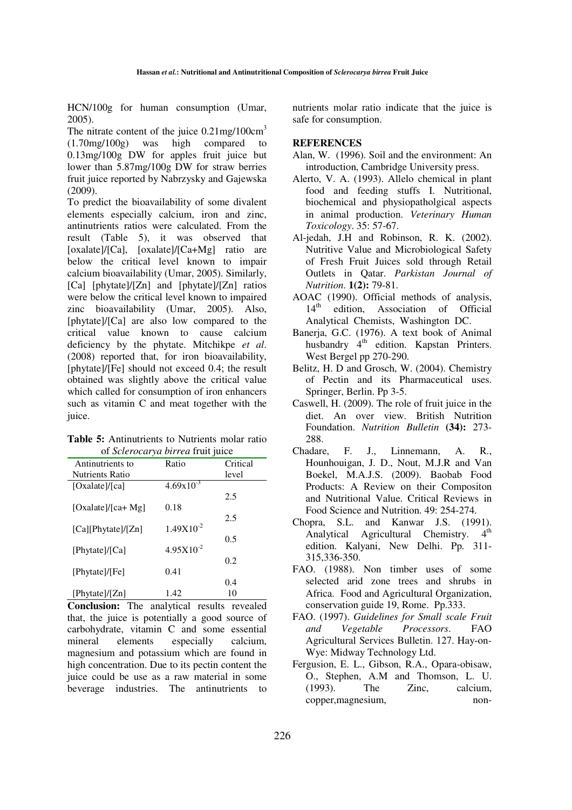HCN/100g for human consumption (Umar, 2005).

The nitrate content of the juice  $0.21$ mg/100cm<sup>3</sup> (1.70mg/100g) was high compared to 0.13mg/100g DW for apples fruit juice but lower than 5.87mg/100g DW for straw berries fruit juice reported by Nabrzysky and Gajewska (2009).

To predict the bioavailability of some divalent elements especially calcium, iron and zinc, antinutrients ratios were calculated. From the result (Table 5), it was observed that [oxalate]/[Ca], [oxalate]/[Ca+Mg] ratio are below the critical level known to impair calcium bioavailability (Umar, 2005). Similarly, [Ca] [phytate]/[Zn] and [phytate]/[Zn] ratios were below the critical level known to impaired zinc bioavailability (Umar, 2005). Also, [phytate]/[Ca] are also low compared to the critical value known to cause calcium deficiency by the phytate. Mitchikpe *et al*. (2008) reported that, for iron bioavailability, [phytate]/[Fe] should not exceed 0.4; the result obtained was slightly above the critical value which called for consumption of iron enhancers such as vitamin C and meat together with the juice.

**Table 5:** Antinutrients to Nutrients molar ratio of *Sclerocarya birrea* fruit juice

|                        |                | J        |
|------------------------|----------------|----------|
| Antinutrients to       | Ratio          | Critical |
| <b>Nutrients Ratio</b> |                | level    |
| [Oxalate]/[ca]         | $4.69x10^{-3}$ |          |
|                        |                | 2.5      |
| [Oxalate]/[ca+ Mg]     | 0.18           |          |
|                        |                | 2.5      |
| [Ca][Phytate]/[Zn]     | $1.49X10^{-2}$ |          |
|                        |                | 0.5      |
| [Phytate]/[Ca]         | $4.95X10^{-2}$ |          |
|                        |                | 0.2      |
| [Phytate]/[Fe]         | 0.41           |          |
|                        |                | 0.4      |
| [Phytate]/[Zn]         | 1.42           | 10       |

**Conclusion:** The analytical results revealed that, the juice is potentially a good source of carbohydrate, vitamin C and some essential mineral elements especially calcium, magnesium and potassium which are found in high concentration. Due to its pectin content the juice could be use as a raw material in some beverage industries. The antinutrients to nutrients molar ratio indicate that the juice is safe for consumption.

## **REFERENCES**

- Alan, W. (1996). Soil and the environment: An introduction, Cambridge University press.
- Alerto, V. A. (1993). Allelo chemical in plant food and feeding stuffs I. Nutritional, biochemical and physiopatholgical aspects in animal production. *Veterinary Human Toxicology*. 35: 57-67.
- Al-jedah, J.H and Robinson, R. K. (2002). Nutritive Value and Microbiological Safety of Fresh Fruit Juices sold through Retail Outlets in Qatar. *Parkistan Journal of Nutrition*. **1(2):** 79-81.
- AOAC (1990). Official methods of analysis, 14<sup>th</sup> edition, Association of Official Analytical Chemists, Washington DC.
- Banerja, G.C. (1976). A text book of Animal husbandry 4<sup>th</sup> edition. Kapstan Printers. West Bergel pp 270-290.
- Belitz, H. D and Grosch, W. (2004). Chemistry of Pectin and its Pharmaceutical uses. Springer, Berlin. Pp 3-5.
- Caswell, H. (2009). The role of fruit juice in the diet. An over view. British Nutrition Foundation. *Nutrition Bulletin* **(34):** 273- 288.
- Chadare, F. J., Linnemann, A. R., Hounhouigan, J. D., Nout, M.J.R and Van Boekel, M.A.J.S. (2009). Baobab Food Products: A Review on their Compositon and Nutritional Value. Critical Reviews in Food Science and Nutrition. 49: 254-274.
- Chopra, S.L. and Kanwar J.S. (1991). Analytical Agricultural Chemistry. 4<sup>th</sup> edition. Kalyani, New Delhi. Pp. 311- 315,336-350.
- FAO. (1988). Non timber uses of some selected arid zone trees and shrubs in Africa. Food and Agricultural Organization, conservation guide 19, Rome. Pp.333.
- FAO. (1997). *Guidelines for Small scale Fruit and Vegetable Processors*. FAO Agricultural Services Bulletin. 127. Hay-on-Wye: Midway Technology Ltd.
- Fergusion, E. L., Gibson, R.A., Opara-obisaw, O., Stephen, A.M and Thomson, L. U. (1993). The Zinc, calcium, copper,magnesium, non-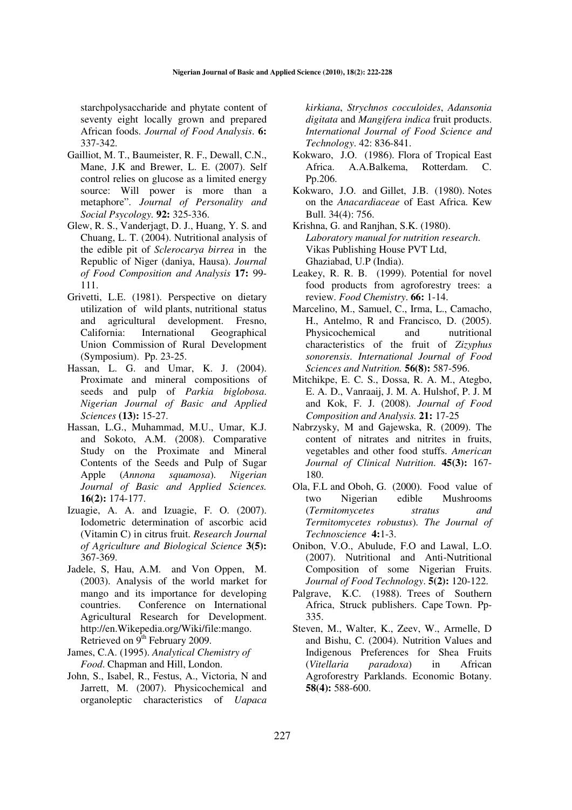starchpolysaccharide and phytate content of seventy eight locally grown and prepared African foods. *Journal of Food Analysis*. **6:** 337-342.

- Gailliot, M. T., Baumeister, R. F., Dewall, C.N., Mane, J.K and Brewer, L. E. (2007). Self control relies on glucose as a limited energy source: Will power is more than a metaphore". *Journal of Personality and Social Psycology.* **92:** 325-336.
- Glew, R. S., Vanderjagt, D. J., Huang, Y. S. and Chuang, L. T. (2004). Nutritional analysis of the edible pit of *Sclerocarya birrea* in the Republic of Niger (daniya, Hausa). *Journal of Food Composition and Analysis* **17:** 99- 111.
- Grivetti, L.E. (1981). Perspective on dietary utilization of wild plants, nutritional status and agricultural development. Fresno, California: International Geographical Union Commission of Rural Development (Symposium). Pp. 23-25.
- Hassan, L. G. and Umar, K. J. (2004). Proximate and mineral compositions of seeds and pulp of *Parkia biglobosa*. *Nigerian Journal of Basic and Applied Sciences* **(13):** 15-27.
- Hassan, L.G., Muhammad, M.U., Umar, K.J. and Sokoto, A.M. (2008). Comparative Study on the Proximate and Mineral Contents of the Seeds and Pulp of Sugar Apple (*Annona squamosa*). *Nigerian Journal of Basic and Applied Sciences.* **16(2):** 174-177.
- Izuagie, A. A. and Izuagie, F. O. (2007). Iodometric determination of ascorbic acid (Vitamin C) in citrus fruit. *Research Journal of Agriculture and Biological Science* **3(5):** 367-369.
- Jadele, S, Hau, A.M. and Von Oppen, M. (2003). Analysis of the world market for mango and its importance for developing countries. Conference on International Agricultural Research for Development. http://en.Wikepedia.org/Wiki/file:mango. Retrieved on 9<sup>th</sup> February 2009.
- James, C.A. (1995). *Analytical Chemistry of Food*. Chapman and Hill, London.
- John, S., Isabel, R., Festus, A., Victoria, N and Jarrett, M. (2007). Physicochemical and organoleptic characteristics of *Uapaca*

*kirkiana*, *Strychnos cocculoides*, *Adansonia digitata* and *Mangifera indica* fruit products. *International Journal of Food Science and Technology*. 42: 836-841.

- Kokwaro, J.O. (1986). Flora of Tropical East Africa. A.A.Balkema, Rotterdam. C. Pp.206.
- Kokwaro, J.O. and Gillet, J.B. (1980). Notes on the *Anacardiaceae* of East Africa. Kew Bull. 34(4): 756.
- Krishna, G. and Ranjhan, S.K. (1980). *Laboratory manual for nutrition research*. Vikas Publishing House PVT Ltd, Ghaziabad, U.P (India).
- Leakey, R. R. B. (1999). Potential for novel food products from agroforestry trees: a review. *Food Chemistry*. **66:** 1-14.
- Marcelino, M., Samuel, C., Irma, L., Camacho, H., Antelmo, R and Francisco, D. (2005). Physicochemical and nutritional characteristics of the fruit of *Zizyphus sonorensis*. *International Journal of Food Sciences and Nutrition.* **56(8):** 587-596.
- Mitchikpe, E. C. S., Dossa, R. A. M., Ategbo, E. A. D., Vanraaij, J. M. A. Hulshof, P. J. M and Kok, F. J. (2008). *Journal of Food Composition and Analysis.* **21:** 17-25
- Nabrzysky, M and Gajewska, R. (2009). The content of nitrates and nitrites in fruits, vegetables and other food stuffs. *American Journal of Clinical Nutrition*. **45(3):** 167- 180.
- Ola, F.L and Oboh, G. (2000). Food value of two Nigerian edible Mushrooms (*Termitomycetes stratus and Termitomycetes robustus*). *The Journal of Technoscience* **4:**1-3.
- Onibon, V.O., Abulude, F.O and Lawal, L.O. (2007). Nutritional and Anti-Nutritional Composition of some Nigerian Fruits. *Journal of Food Technology*. **5(2):** 120-122.
- Palgrave, K.C. (1988). Trees of Southern Africa, Struck publishers. Cape Town. Pp-335.
- Steven, M., Walter, K., Zeev, W., Armelle, D and Bishu, C. (2004). Nutrition Values and Indigenous Preferences for Shea Fruits (*Vitellaria paradoxa*) in African Agroforestry Parklands. Economic Botany. **58(4):** 588-600.